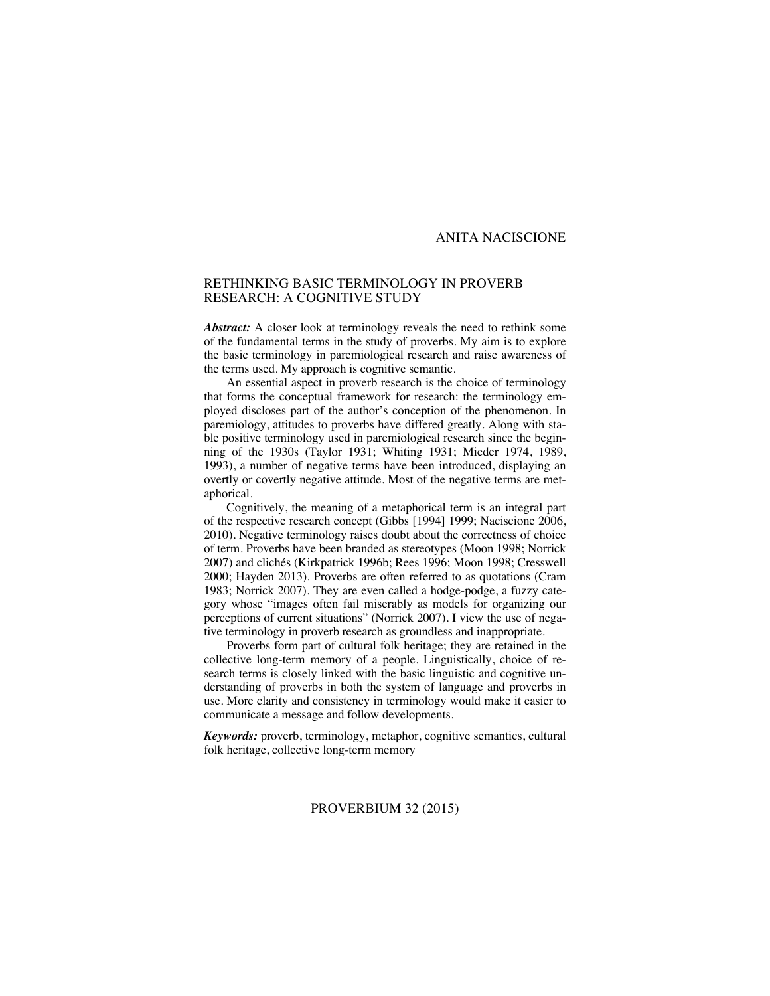## ANITA NACISCIONE

# RETHINKING BASIC TERMINOLOGY IN PROVERB RESEARCH: A COGNITIVE STUDY

Abstract: A closer look at terminology reveals the need to rethink some of the fundamental terms in the study of proverbs. My aim is to explore the basic terminology in paremiological research and raise awareness of the terms used. My approach is cognitive semantic.

An essential aspect in proverb research is the choice of terminology that forms the conceptual framework for research: the terminology employed discloses part of the author's conception of the phenomenon. In paremiology, attitudes to proverbs have differed greatly. Along with stable positive terminology used in paremiological research since the beginning of the 1930s (Taylor 1931; Whiting 1931; Mieder 1974, 1989, 1993), a number of negative terms have been introduced, displaying an overtly or covertly negative attitude. Most of the negative terms are metaphorical.

Cognitively, the meaning of a metaphorical term is an integral part of the respective research concept (Gibbs [1994] 1999; Naciscione 2006, 2010). Negative terminology raises doubt about the correctness of choice of term. Proverbs have been branded as stereotypes (Moon 1998; Norrick 2007) and clichés (Kirkpatrick 1996b; Rees 1996; Moon 1998; Cresswell 2000; Hayden 2013). Proverbs are often referred to as quotations (Cram 1983; Norrick 2007). They are even called a hodge-podge, a fuzzy category whose "images often fail miserably as models for organizing our perceptions of current situations" (Norrick 2007). I view the use of negative terminology in proverb research as groundless and inappropriate.

Proverbs form part of cultural folk heritage; they are retained in the collective long-term memory of a people. Linguistically, choice of research terms is closely linked with the basic linguistic and cognitive understanding of proverbs in both the system of language and proverbs in use. More clarity and consistency in terminology would make it easier to communicate a message and follow developments.

*Keywords:* proverb, terminology, metaphor, cognitive semantics, cultural folk heritage, collective long-term memory

## PROVERBIUM 32 (2015)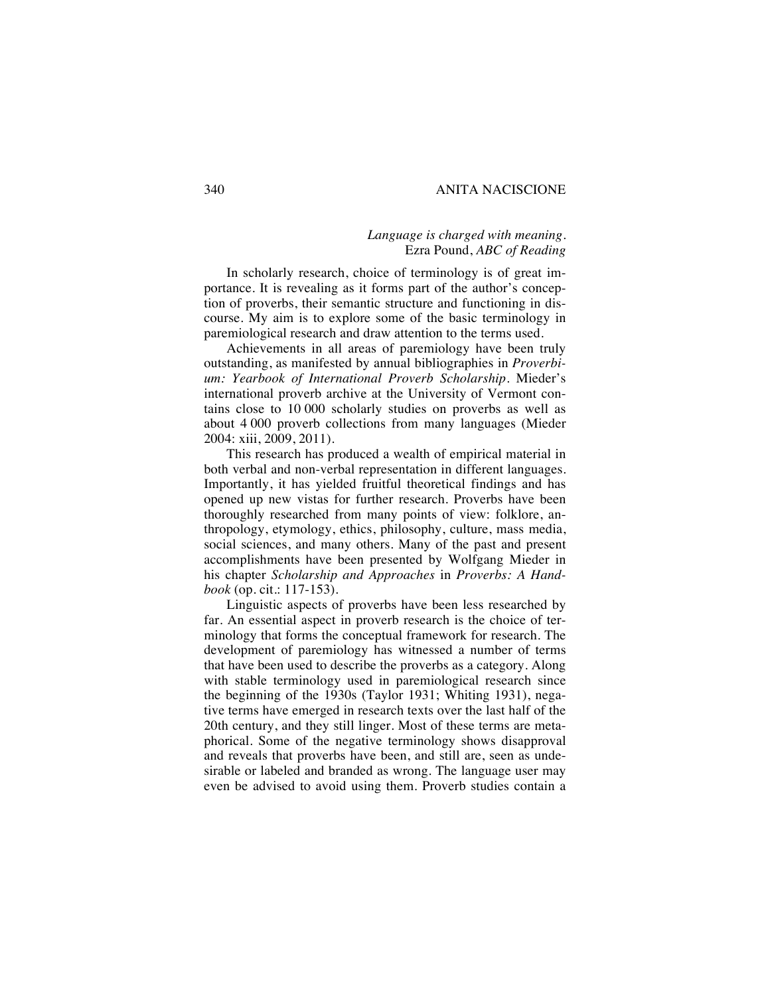## 340 ANITA NACISCIONE

# *Language is charged with meaning.* Ezra Pound, *ABC of Reading*

In scholarly research, choice of terminology is of great importance. It is revealing as it forms part of the author's conception of proverbs, their semantic structure and functioning in discourse. My aim is to explore some of the basic terminology in paremiological research and draw attention to the terms used.

Achievements in all areas of paremiology have been truly outstanding, as manifested by annual bibliographies in *Proverbium: Yearbook of International Proverb Scholarship*. Mieder's international proverb archive at the University of Vermont contains close to 10 000 scholarly studies on proverbs as well as about 4 000 proverb collections from many languages (Mieder 2004: xiii, 2009, 2011).

This research has produced a wealth of empirical material in both verbal and non-verbal representation in different languages. Importantly, it has yielded fruitful theoretical findings and has opened up new vistas for further research. Proverbs have been thoroughly researched from many points of view: folklore, anthropology, etymology, ethics, philosophy, culture, mass media, social sciences, and many others. Many of the past and present accomplishments have been presented by Wolfgang Mieder in his chapter *Scholarship and Approaches* in *Proverbs: A Handbook* (op. cit.: 117-153).

Linguistic aspects of proverbs have been less researched by far. An essential aspect in proverb research is the choice of terminology that forms the conceptual framework for research. The development of paremiology has witnessed a number of terms that have been used to describe the proverbs as a category. Along with stable terminology used in paremiological research since the beginning of the 1930s (Taylor 1931; Whiting 1931), negative terms have emerged in research texts over the last half of the 20th century, and they still linger. Most of these terms are metaphorical. Some of the negative terminology shows disapproval and reveals that proverbs have been, and still are, seen as undesirable or labeled and branded as wrong. The language user may even be advised to avoid using them. Proverb studies contain a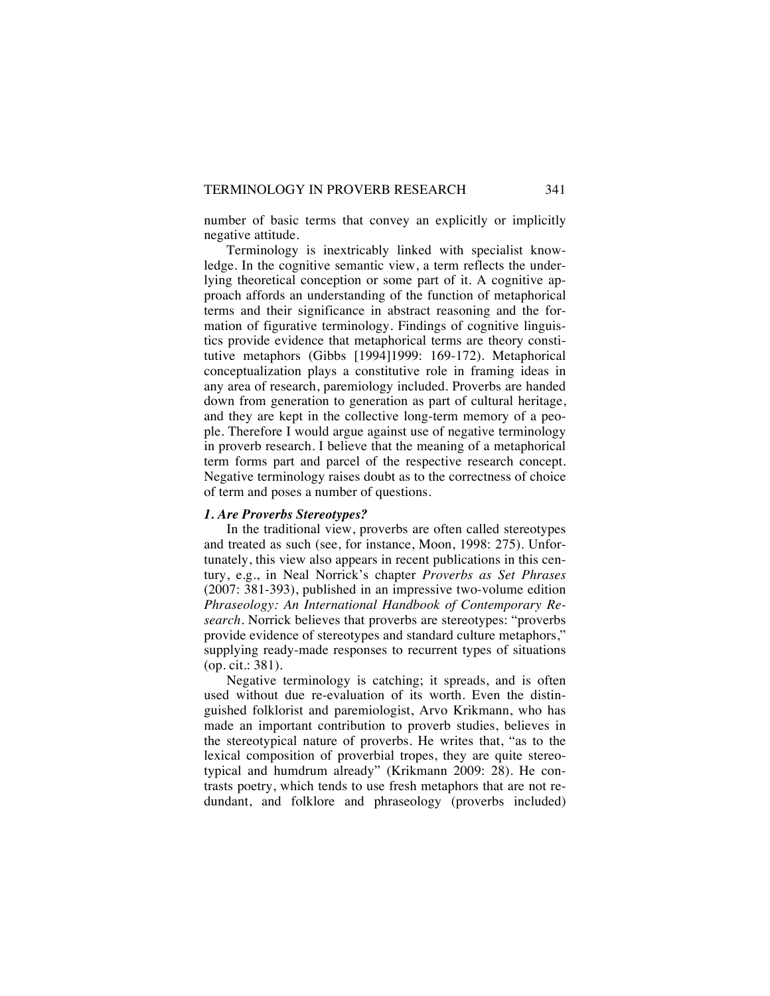number of basic terms that convey an explicitly or implicitly negative attitude.

Terminology is inextricably linked with specialist knowledge. In the cognitive semantic view, a term reflects the underlying theoretical conception or some part of it. A cognitive approach affords an understanding of the function of metaphorical terms and their significance in abstract reasoning and the formation of figurative terminology. Findings of cognitive linguistics provide evidence that metaphorical terms are theory constitutive metaphors (Gibbs [1994]1999: 169-172). Metaphorical conceptualization plays a constitutive role in framing ideas in any area of research, paremiology included. Proverbs are handed down from generation to generation as part of cultural heritage, and they are kept in the collective long-term memory of a people. Therefore I would argue against use of negative terminology in proverb research. I believe that the meaning of a metaphorical term forms part and parcel of the respective research concept. Negative terminology raises doubt as to the correctness of choice of term and poses a number of questions.

#### *1. Are Proverbs Stereotypes?*

In the traditional view, proverbs are often called stereotypes and treated as such (see, for instance, Moon, 1998: 275). Unfortunately, this view also appears in recent publications in this century, e.g., in Neal Norrick's chapter *Proverbs as Set Phrases* (2007: 381-393), published in an impressive two-volume edition *Phraseology: An International Handbook of Contemporary Research*. Norrick believes that proverbs are stereotypes: "proverbs provide evidence of stereotypes and standard culture metaphors," supplying ready-made responses to recurrent types of situations (op. cit.: 381).

Negative terminology is catching; it spreads, and is often used without due re-evaluation of its worth. Even the distinguished folklorist and paremiologist, Arvo Krikmann, who has made an important contribution to proverb studies, believes in the stereotypical nature of proverbs. He writes that, "as to the lexical composition of proverbial tropes, they are quite stereotypical and humdrum already" (Krikmann 2009: 28). He contrasts poetry, which tends to use fresh metaphors that are not redundant, and folklore and phraseology (proverbs included)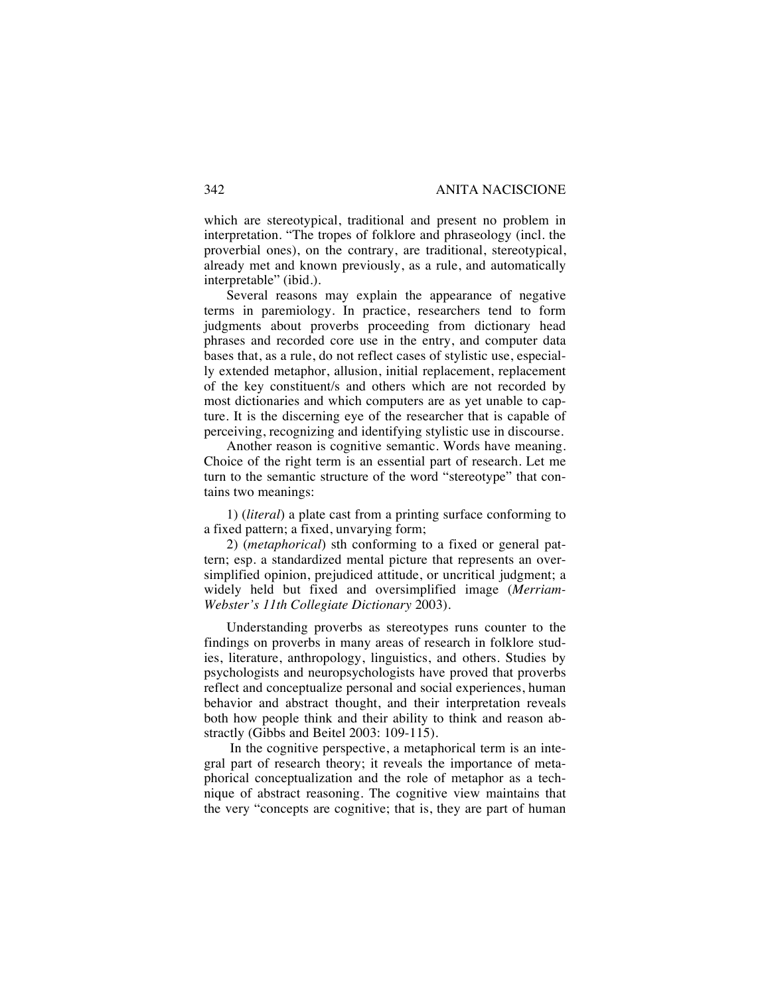which are stereotypical, traditional and present no problem in interpretation. "The tropes of folklore and phraseology (incl. the proverbial ones), on the contrary, are traditional, stereotypical, already met and known previously, as a rule, and automatically interpretable" (ibid.).

Several reasons may explain the appearance of negative terms in paremiology. In practice, researchers tend to form judgments about proverbs proceeding from dictionary head phrases and recorded core use in the entry, and computer data bases that, as a rule, do not reflect cases of stylistic use, especially extended metaphor, allusion, initial replacement, replacement of the key constituent/s and others which are not recorded by most dictionaries and which computers are as yet unable to capture. It is the discerning eye of the researcher that is capable of perceiving, recognizing and identifying stylistic use in discourse.

Another reason is cognitive semantic. Words have meaning. Choice of the right term is an essential part of research. Let me turn to the semantic structure of the word "stereotype" that contains two meanings:

1) (*literal*) a plate cast from a printing surface conforming to a fixed pattern; a fixed, unvarying form;

2) (*metaphorical*) sth conforming to a fixed or general pattern; esp. a standardized mental picture that represents an oversimplified opinion, prejudiced attitude, or uncritical judgment; a widely held but fixed and oversimplified image (*Merriam-Webster's 11th Collegiate Dictionary* 2003).

Understanding proverbs as stereotypes runs counter to the findings on proverbs in many areas of research in folklore studies, literature, anthropology, linguistics, and others. Studies by psychologists and neuropsychologists have proved that proverbs reflect and conceptualize personal and social experiences, human behavior and abstract thought, and their interpretation reveals both how people think and their ability to think and reason abstractly (Gibbs and Beitel 2003: 109-115).

In the cognitive perspective, a metaphorical term is an integral part of research theory; it reveals the importance of metaphorical conceptualization and the role of metaphor as a technique of abstract reasoning. The cognitive view maintains that the very "concepts are cognitive; that is, they are part of human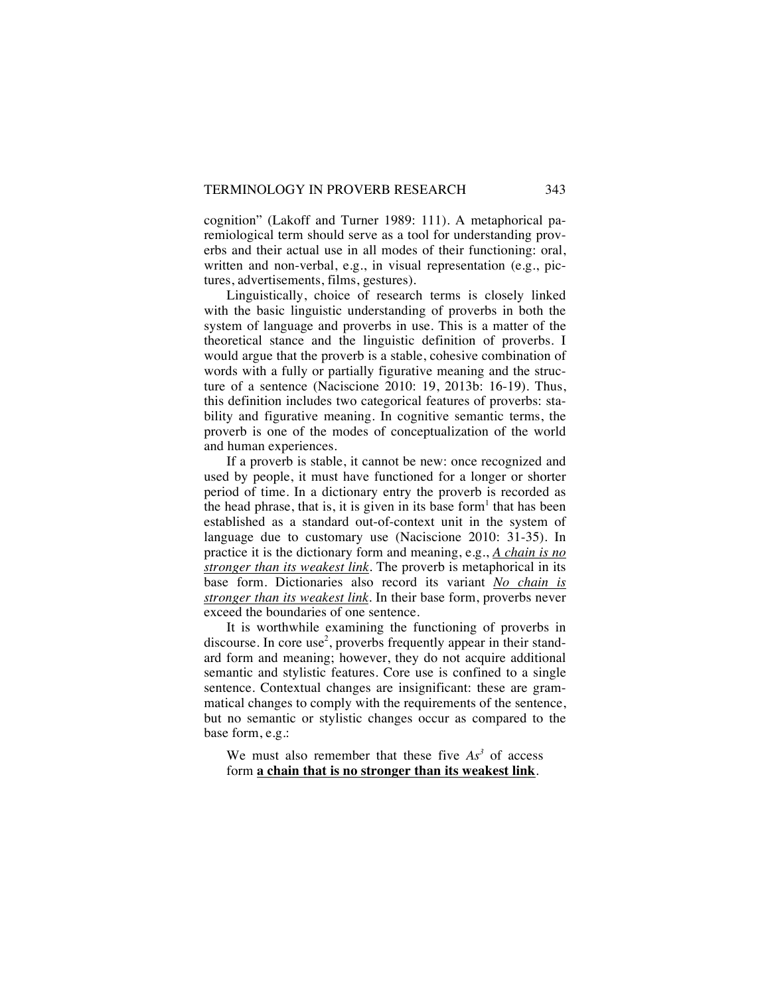cognition" (Lakoff and Turner 1989: 111). A metaphorical paremiological term should serve as a tool for understanding proverbs and their actual use in all modes of their functioning: oral, written and non-verbal, e.g., in visual representation (e.g., pictures, advertisements, films, gestures).

Linguistically, choice of research terms is closely linked with the basic linguistic understanding of proverbs in both the system of language and proverbs in use. This is a matter of the theoretical stance and the linguistic definition of proverbs. I would argue that the proverb is a stable, cohesive combination of words with a fully or partially figurative meaning and the structure of a sentence (Naciscione 2010: 19, 2013b: 16-19). Thus, this definition includes two categorical features of proverbs: stability and figurative meaning. In cognitive semantic terms, the proverb is one of the modes of conceptualization of the world and human experiences.

If a proverb is stable, it cannot be new: once recognized and used by people, it must have functioned for a longer or shorter period of time. In a dictionary entry the proverb is recorded as the head phrase, that is, it is given in its base form<sup>1</sup> that has been established as a standard out-of-context unit in the system of language due to customary use (Naciscione 2010: 31-35). In practice it is the dictionary form and meaning, e.g., *A chain is no stronger than its weakest link.* The proverb is metaphorical in its base form. Dictionaries also record its variant *No chain is stronger than its weakest link.* In their base form, proverbs never exceed the boundaries of one sentence.

It is worthwhile examining the functioning of proverbs in discourse. In core use<sup>2</sup>, proverbs frequently appear in their standard form and meaning; however, they do not acquire additional semantic and stylistic features. Core use is confined to a single sentence. Contextual changes are insignificant: these are grammatical changes to comply with the requirements of the sentence, but no semantic or stylistic changes occur as compared to the base form, e.g.:

We must also remember that these five  $As<sup>3</sup>$  of access form **a chain that is no stronger than its weakest link**.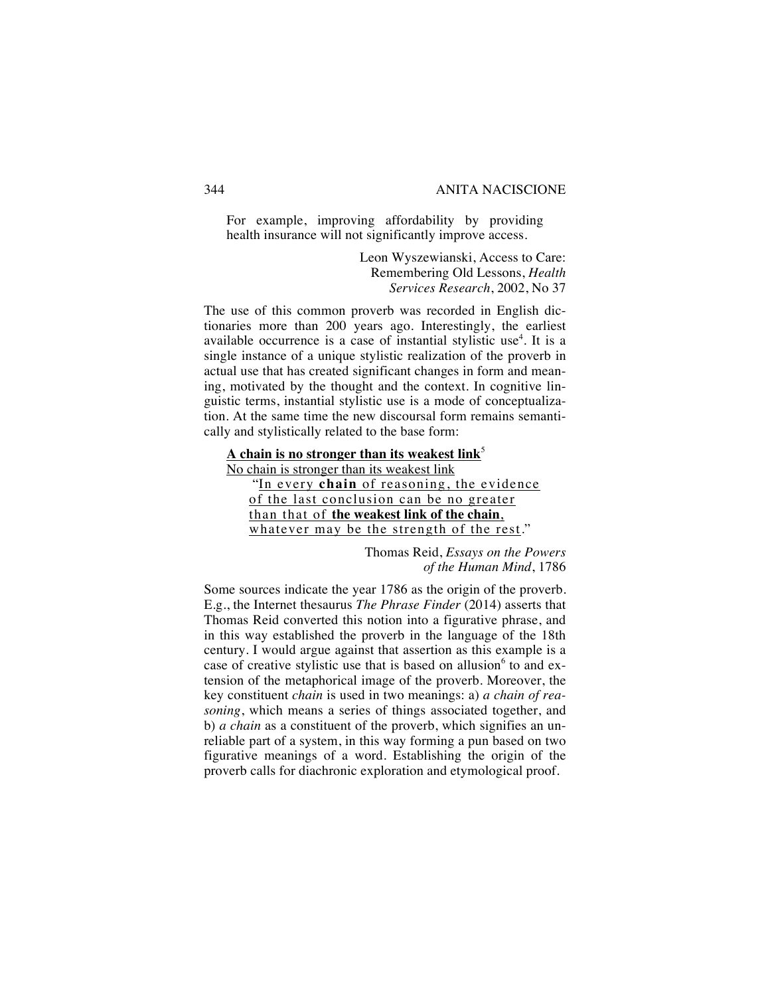For example, improving affordability by providing health insurance will not significantly improve access.

> Leon Wyszewianski, Access to Care: Remembering Old Lessons, *Health Services Research*, 2002, No 37

The use of this common proverb was recorded in English dictionaries more than 200 years ago. Interestingly, the earliest available occurrence is a case of instantial stylistic use<sup>4</sup>. It is a single instance of a unique stylistic realization of the proverb in actual use that has created significant changes in form and meaning, motivated by the thought and the context. In cognitive linguistic terms, instantial stylistic use is a mode of conceptualization. At the same time the new discoursal form remains semantically and stylistically related to the base form:

**A chain is no stronger than its weakest link**<sup>5</sup> No chain is stronger than its weakest link "In every **chain** of reasoning, the evidence of the last conclusion can be no greater

than that of **the weakest link of the chain**, whatever may be the strength of the rest."

> Thomas Reid, *Essays on the Powers of the Human Mind*, 1786

Some sources indicate the year 1786 as the origin of the proverb. E.g., the Internet thesaurus *The Phrase Finder* (2014) asserts that Thomas Reid converted this notion into a figurative phrase, and in this way established the proverb in the language of the 18th century. I would argue against that assertion as this example is a case of creative stylistic use that is based on allusion $6$  to and extension of the metaphorical image of the proverb. Moreover, the key constituent *chain* is used in two meanings: a) *a chain of reasoning*, which means a series of things associated together, and b) *a chain* as a constituent of the proverb, which signifies an unreliable part of a system, in this way forming a pun based on two figurative meanings of a word. Establishing the origin of the proverb calls for diachronic exploration and etymological proof.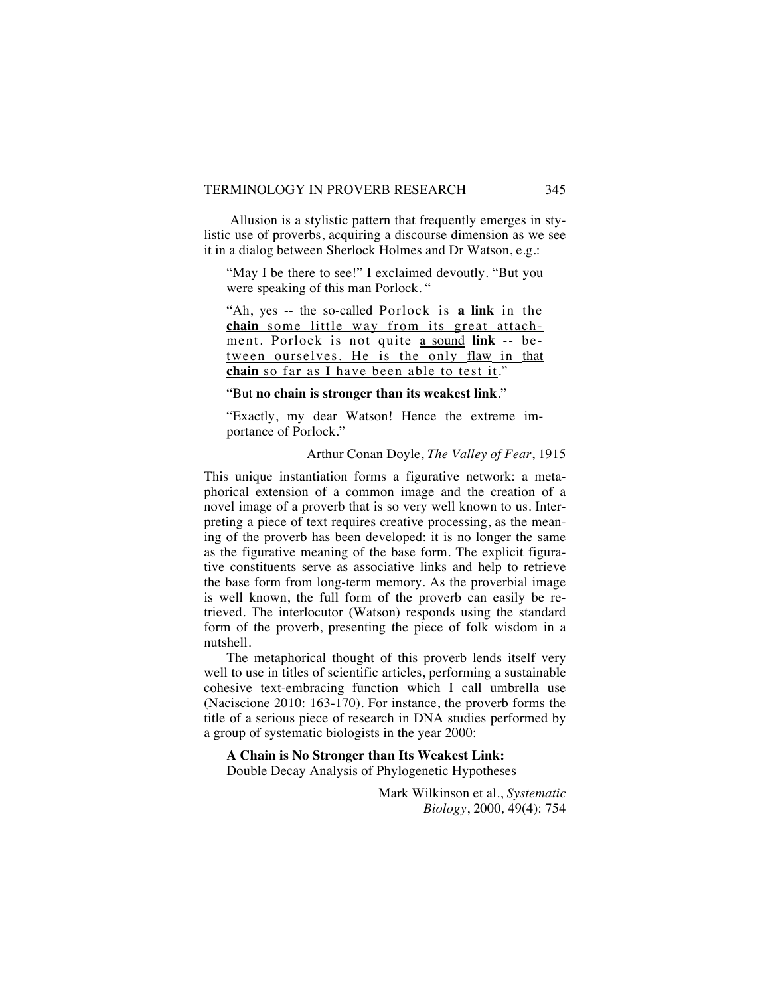Allusion is a stylistic pattern that frequently emerges in stylistic use of proverbs, acquiring a discourse dimension as we see it in a dialog between Sherlock Holmes and Dr Watson, e.g.:

"May I be there to see!" I exclaimed devoutly. "But you were speaking of this man Porlock. "

"Ah, yes -- the so-called Porlock is **a link** in the **chain** some little way from its great attachment. Porlock is not quite a sound **link** -- between ourselves. He is the only flaw in that **chain** so far as I have been able to test it."

# "But **no chain is stronger than its weakest link**."

"Exactly, my dear Watson! Hence the extreme importance of Porlock."

#### Arthur Conan Doyle, *The Valley of Fear*, 1915

This unique instantiation forms a figurative network: a metaphorical extension of a common image and the creation of a novel image of a proverb that is so very well known to us. Interpreting a piece of text requires creative processing, as the meaning of the proverb has been developed: it is no longer the same as the figurative meaning of the base form. The explicit figurative constituents serve as associative links and help to retrieve the base form from long-term memory. As the proverbial image is well known, the full form of the proverb can easily be retrieved. The interlocutor (Watson) responds using the standard form of the proverb, presenting the piece of folk wisdom in a nutshell.

The metaphorical thought of this proverb lends itself very well to use in titles of scientific articles, performing a sustainable cohesive text-embracing function which I call umbrella use (Naciscione 2010: 163-170). For instance, the proverb forms the title of a serious piece of research in DNA studies performed by a group of systematic biologists in the year 2000:

## **A Chain is No Stronger than Its Weakest Link:**

Double Decay Analysis of Phylogenetic Hypotheses

Mark Wilkinson et al., *Systematic Biology*, 2000*,* 49(4): 754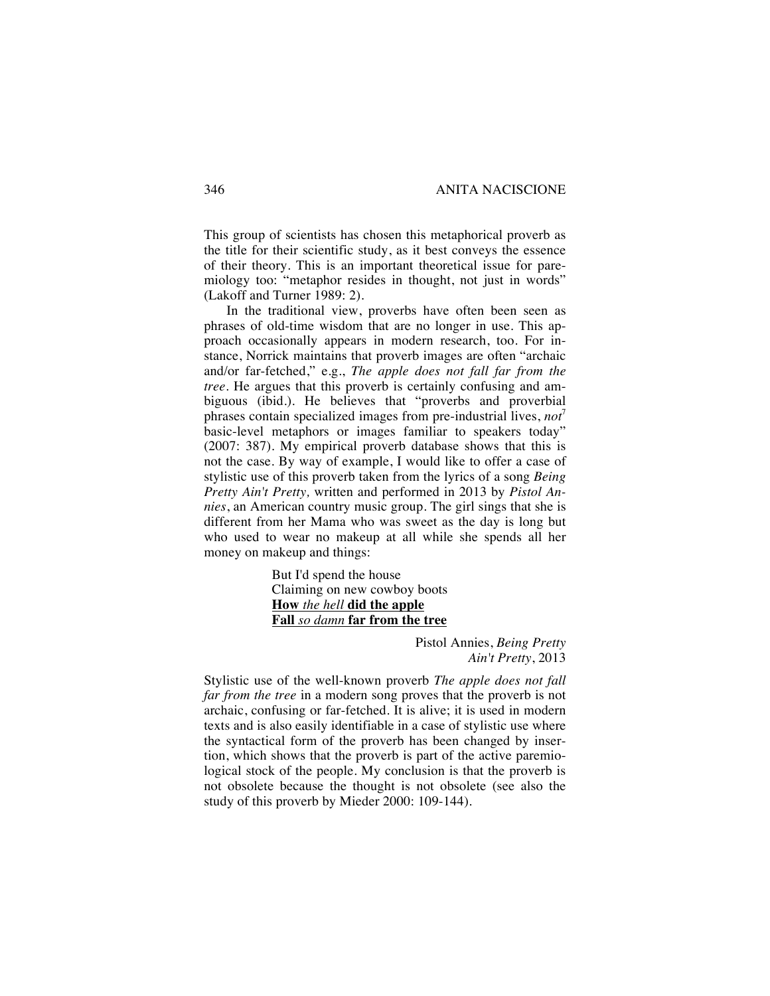This group of scientists has chosen this metaphorical proverb as the title for their scientific study, as it best conveys the essence of their theory. This is an important theoretical issue for paremiology too: "metaphor resides in thought, not just in words" (Lakoff and Turner 1989: 2).

In the traditional view, proverbs have often been seen as phrases of old-time wisdom that are no longer in use. This approach occasionally appears in modern research, too. For instance, Norrick maintains that proverb images are often "archaic and/or far-fetched," e.g., *The apple does not fall far from the tree*. He argues that this proverb is certainly confusing and ambiguous (ibid.). He believes that "proverbs and proverbial phrases contain specialized images from pre-industrial lives, *not*<sup>7</sup> basic-level metaphors or images familiar to speakers today" (2007: 387). My empirical proverb database shows that this is not the case. By way of example, I would like to offer a case of stylistic use of this proverb taken from the lyrics of a song *Being Pretty Ain't Pretty,* written and performed in 2013 by *Pistol Annies*, an American country music group. The girl sings that she is different from her Mama who was sweet as the day is long but who used to wear no makeup at all while she spends all her money on makeup and things:

> But I'd spend the house Claiming on new cowboy boots **How** *the hell* **did the apple Fall** *so damn* **far from the tree**

> > Pistol Annies, *Being Pretty Ain't Pretty*, 2013

Stylistic use of the well-known proverb *The apple does not fall far from the tree* in a modern song proves that the proverb is not archaic, confusing or far-fetched. It is alive; it is used in modern texts and is also easily identifiable in a case of stylistic use where the syntactical form of the proverb has been changed by insertion, which shows that the proverb is part of the active paremiological stock of the people. My conclusion is that the proverb is not obsolete because the thought is not obsolete (see also the study of this proverb by Mieder 2000: 109-144).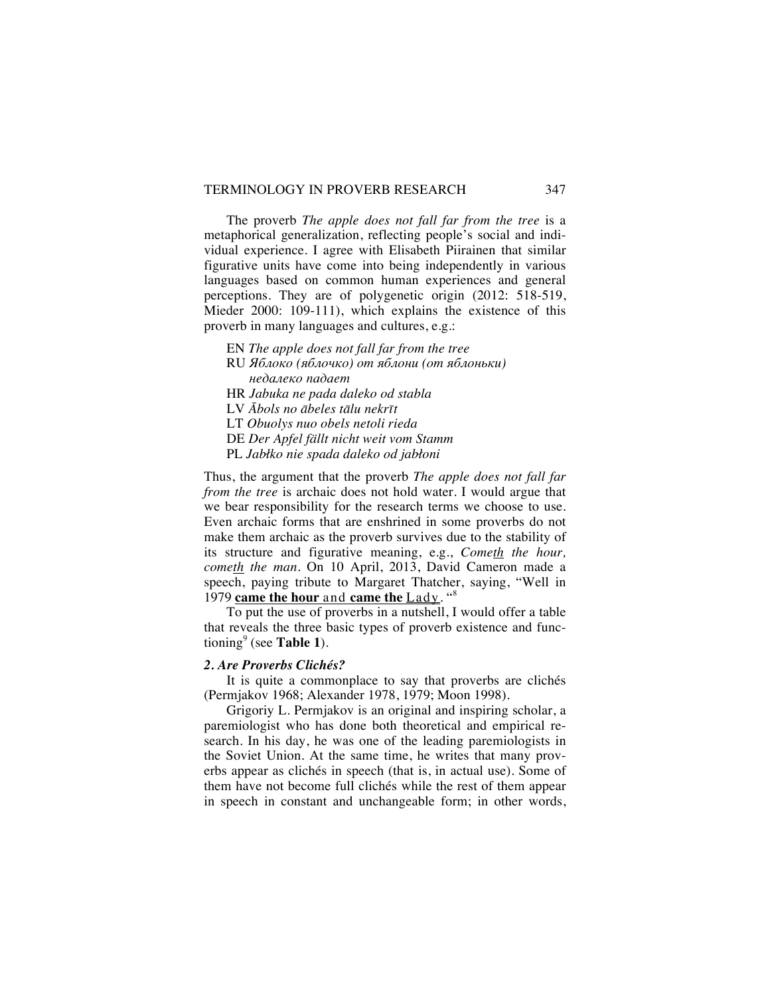## TERMINOLOGY IN PROVERB RESEARCH 347

The proverb *The apple does not fall far from the tree* is a metaphorical generalization, reflecting people's social and individual experience. I agree with Elisabeth Piirainen that similar figurative units have come into being independently in various languages based on common human experiences and general perceptions. They are of polygenetic origin (2012: 518-519, Mieder 2000: 109-111), which explains the existence of this proverb in many languages and cultures, e.g.:

EN *The apple does not fall far from the tree* RU *Яблоко (яблочко) от яблони (от яблоньки) недалеко падает* HR *Jabuka ne pada daleko od stabla* LV *Ābols no ābeles tālu nekrīt* LT *Obuolys nuo obels netoli rieda* DE *Der Apfel fällt nicht weit vom Stamm* PL *Jabłko nie spada daleko od jabłoni*

Thus, the argument that the proverb *The apple does not fall far from the tree* is archaic does not hold water. I would argue that we bear responsibility for the research terms we choose to use. Even archaic forms that are enshrined in some proverbs do not make them archaic as the proverb survives due to the stability of its structure and figurative meaning, e.g., *Cometh the hour, cometh the man*. On 10 April, 2013, David Cameron made a speech, paying tribute to Margaret Thatcher, saying, "Well in 1979 **came the hour** and **came the** Lady. "<sup>8</sup>

To put the use of proverbs in a nutshell, I would offer a table that reveals the three basic types of proverb existence and functioning<sup>9</sup> (see **Table 1**).

#### *2. Are Proverbs Clichés?*

It is quite a commonplace to say that proverbs are clichés (Permjakov 1968; Alexander 1978, 1979; Moon 1998).

Grigoriy L. Permjakov is an original and inspiring scholar, a paremiologist who has done both theoretical and empirical research. In his day, he was one of the leading paremiologists in the Soviet Union. At the same time, he writes that many proverbs appear as clichés in speech (that is, in actual use). Some of them have not become full clichés while the rest of them appear in speech in constant and unchangeable form; in other words,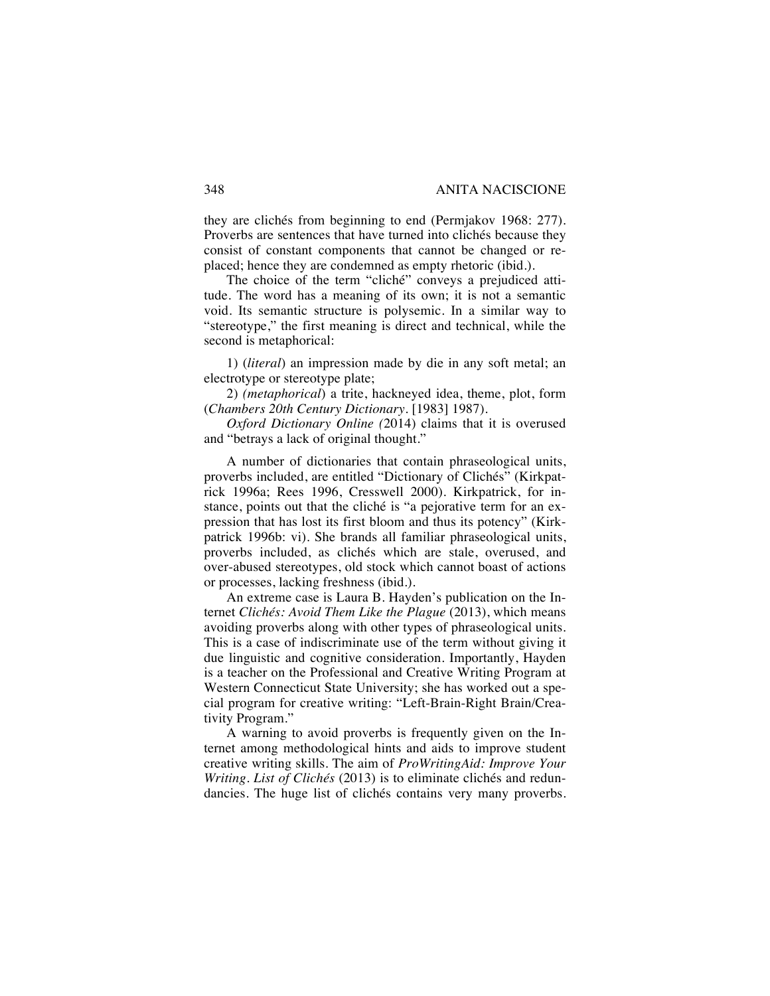they are clichés from beginning to end (Permjakov 1968: 277). Proverbs are sentences that have turned into clichés because they consist of constant components that cannot be changed or replaced; hence they are condemned as empty rhetoric (ibid.).

The choice of the term "cliché" conveys a prejudiced attitude. The word has a meaning of its own; it is not a semantic void. Its semantic structure is polysemic. In a similar way to "stereotype," the first meaning is direct and technical, while the second is metaphorical:

1) (*literal*) an impression made by die in any soft metal; an electrotype or stereotype plate;

2) *(metaphorical*) a trite, hackneyed idea, theme, plot, form (*Chambers 20th Century Dictionary*. [1983] 1987).

*Oxford Dictionary Online (*2014) claims that it is overused and "betrays a lack of original thought."

A number of dictionaries that contain phraseological units, proverbs included, are entitled "Dictionary of Clichés" (Kirkpatrick 1996a; Rees 1996, Cresswell 2000). Kirkpatrick, for instance, points out that the cliché is "a pejorative term for an expression that has lost its first bloom and thus its potency" (Kirkpatrick 1996b: vi). She brands all familiar phraseological units, proverbs included, as clichés which are stale, overused, and over-abused stereotypes, old stock which cannot boast of actions or processes, lacking freshness (ibid.).

An extreme case is Laura B. Hayden's publication on the Internet *Clichés: Avoid Them Like the Plague* (2013), which means avoiding proverbs along with other types of phraseological units. This is a case of indiscriminate use of the term without giving it due linguistic and cognitive consideration. Importantly, Hayden is a teacher on the Professional and Creative Writing Program at Western Connecticut State University; she has worked out a special program for creative writing: "Left-Brain-Right Brain/Creativity Program."

A warning to avoid proverbs is frequently given on the Internet among methodological hints and aids to improve student creative writing skills. The aim of *ProWritingAid: Improve Your Writing. List of Clichés* (2013) is to eliminate clichés and redundancies. The huge list of clichés contains very many proverbs.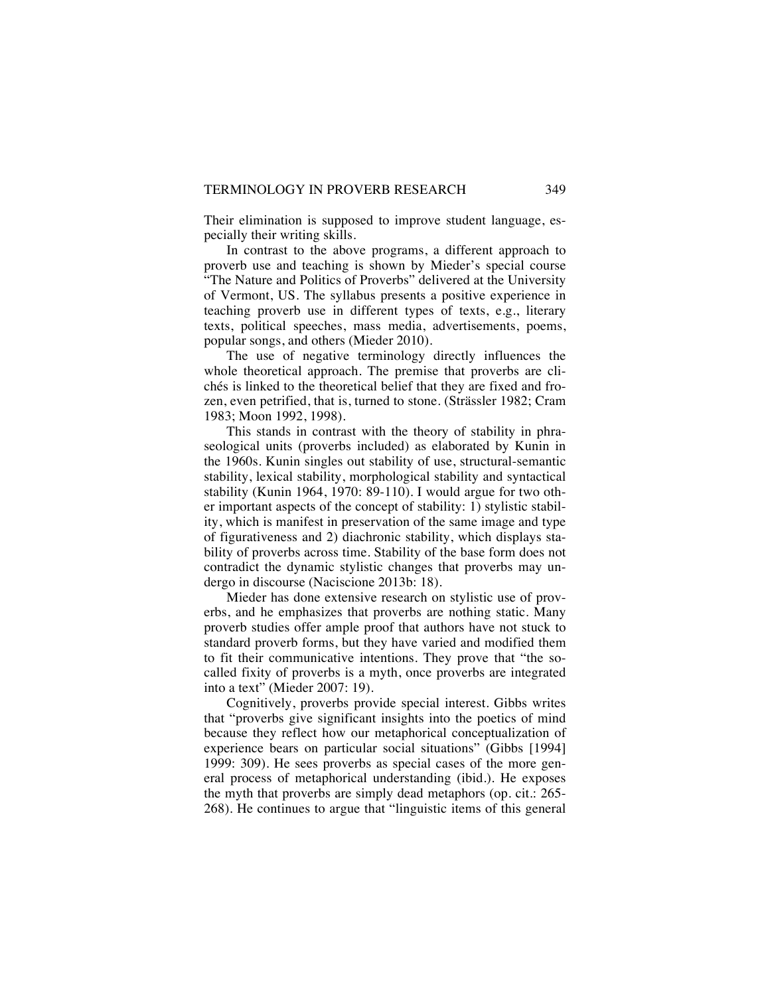Their elimination is supposed to improve student language, especially their writing skills.

In contrast to the above programs, a different approach to proverb use and teaching is shown by Mieder's special course "The Nature and Politics of Proverbs" delivered at the University of Vermont, US. The syllabus presents a positive experience in teaching proverb use in different types of texts, e.g., literary texts, political speeches, mass media, advertisements, poems, popular songs, and others (Mieder 2010).

The use of negative terminology directly influences the whole theoretical approach. The premise that proverbs are clichés is linked to the theoretical belief that they are fixed and frozen, even petrified, that is, turned to stone. (Strässler 1982; Cram 1983; Moon 1992, 1998).

This stands in contrast with the theory of stability in phraseological units (proverbs included) as elaborated by Kunin in the 1960s. Kunin singles out stability of use, structural-semantic stability, lexical stability, morphological stability and syntactical stability (Kunin 1964, 1970: 89-110). I would argue for two other important aspects of the concept of stability: 1) stylistic stability, which is manifest in preservation of the same image and type of figurativeness and 2) diachronic stability, which displays stability of proverbs across time. Stability of the base form does not contradict the dynamic stylistic changes that proverbs may undergo in discourse (Naciscione 2013b: 18).

Mieder has done extensive research on stylistic use of proverbs, and he emphasizes that proverbs are nothing static. Many proverb studies offer ample proof that authors have not stuck to standard proverb forms, but they have varied and modified them to fit their communicative intentions. They prove that "the socalled fixity of proverbs is a myth, once proverbs are integrated into a text" (Mieder 2007: 19).

Cognitively, proverbs provide special interest. Gibbs writes that "proverbs give significant insights into the poetics of mind because they reflect how our metaphorical conceptualization of experience bears on particular social situations" (Gibbs [1994] 1999: 309). He sees proverbs as special cases of the more general process of metaphorical understanding (ibid.). He exposes the myth that proverbs are simply dead metaphors (op. cit.: 265- 268). He continues to argue that "linguistic items of this general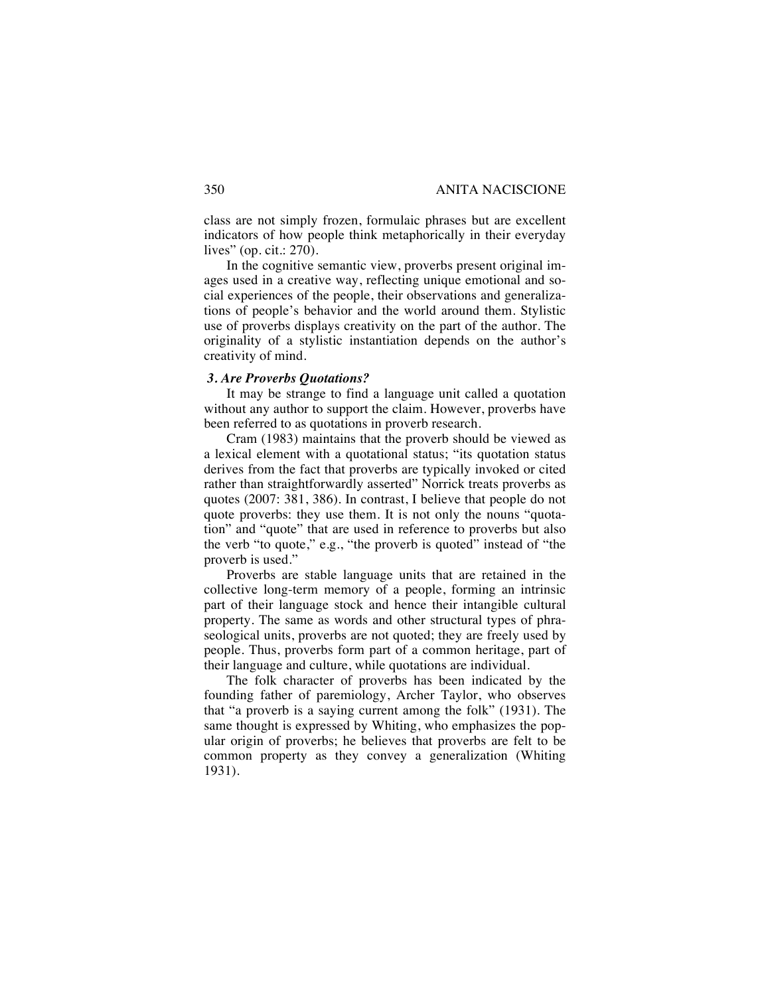class are not simply frozen, formulaic phrases but are excellent indicators of how people think metaphorically in their everyday lives" (op. cit.: 270).

In the cognitive semantic view, proverbs present original images used in a creative way, reflecting unique emotional and social experiences of the people, their observations and generalizations of people's behavior and the world around them. Stylistic use of proverbs displays creativity on the part of the author. The originality of a stylistic instantiation depends on the author's creativity of mind.

#### *3. Are Proverbs Quotations?*

It may be strange to find a language unit called a quotation without any author to support the claim. However, proverbs have been referred to as quotations in proverb research.

Cram (1983) maintains that the proverb should be viewed as a lexical element with a quotational status; "its quotation status derives from the fact that proverbs are typically invoked or cited rather than straightforwardly asserted" Norrick treats proverbs as quotes (2007: 381, 386). In contrast, I believe that people do not quote proverbs: they use them. It is not only the nouns "quotation" and "quote" that are used in reference to proverbs but also the verb "to quote," e.g., "the proverb is quoted" instead of "the proverb is used."

Proverbs are stable language units that are retained in the collective long-term memory of a people, forming an intrinsic part of their language stock and hence their intangible cultural property. The same as words and other structural types of phraseological units, proverbs are not quoted; they are freely used by people. Thus, proverbs form part of a common heritage, part of their language and culture, while quotations are individual.

The folk character of proverbs has been indicated by the founding father of paremiology, Archer Taylor, who observes that "a proverb is a saying current among the folk" (1931). The same thought is expressed by Whiting, who emphasizes the popular origin of proverbs; he believes that proverbs are felt to be common property as they convey a generalization (Whiting 1931).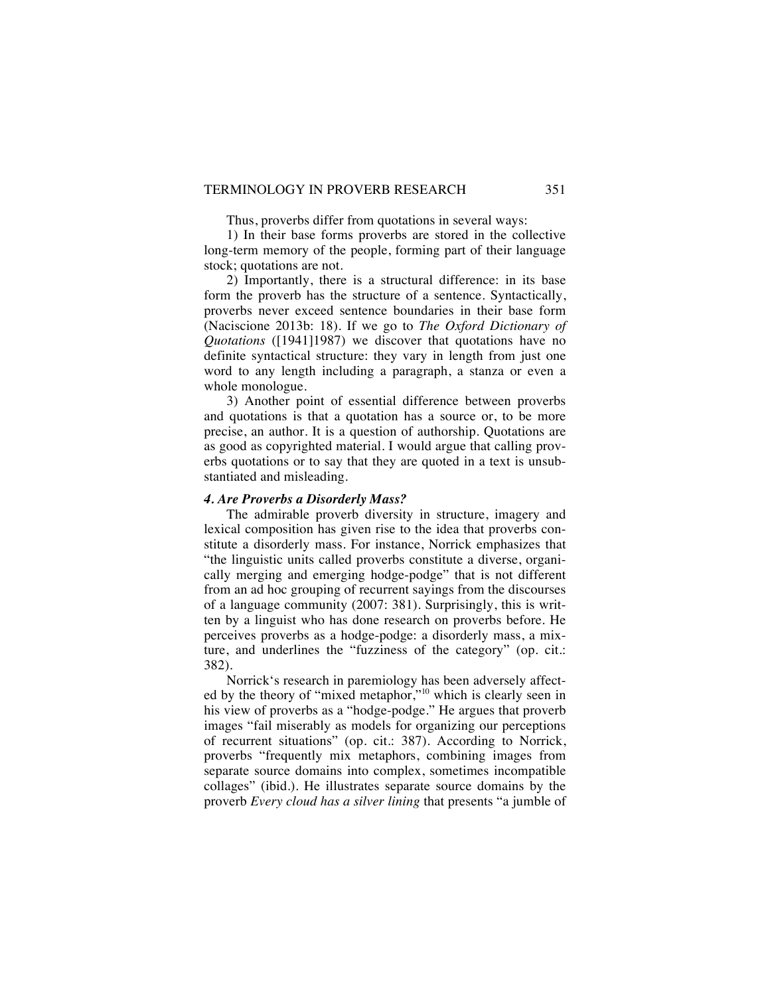Thus, proverbs differ from quotations in several ways:

1) In their base forms proverbs are stored in the collective long-term memory of the people, forming part of their language stock; quotations are not.

2) Importantly, there is a structural difference: in its base form the proverb has the structure of a sentence. Syntactically, proverbs never exceed sentence boundaries in their base form (Naciscione 2013b: 18). If we go to *The Oxford Dictionary of Quotations* ([1941]1987) we discover that quotations have no definite syntactical structure: they vary in length from just one word to any length including a paragraph, a stanza or even a whole monologue.

3) Another point of essential difference between proverbs and quotations is that a quotation has a source or, to be more precise, an author. It is a question of authorship. Quotations are as good as copyrighted material. I would argue that calling proverbs quotations or to say that they are quoted in a text is unsubstantiated and misleading.

#### *4. Are Proverbs a Disorderly Mass?*

The admirable proverb diversity in structure, imagery and lexical composition has given rise to the idea that proverbs constitute a disorderly mass. For instance, Norrick emphasizes that "the linguistic units called proverbs constitute a diverse, organically merging and emerging hodge-podge" that is not different from an ad hoc grouping of recurrent sayings from the discourses of a language community (2007: 381). Surprisingly, this is written by a linguist who has done research on proverbs before. He perceives proverbs as a hodge-podge: a disorderly mass, a mixture, and underlines the "fuzziness of the category" (op. cit.: 382).

Norrick's research in paremiology has been adversely affected by the theory of "mixed metaphor,"<sup>10</sup> which is clearly seen in his view of proverbs as a "hodge-podge." He argues that proverb images "fail miserably as models for organizing our perceptions of recurrent situations" (op. cit.: 387). According to Norrick, proverbs "frequently mix metaphors, combining images from separate source domains into complex, sometimes incompatible collages" (ibid.). He illustrates separate source domains by the proverb *Every cloud has a silver lining* that presents "a jumble of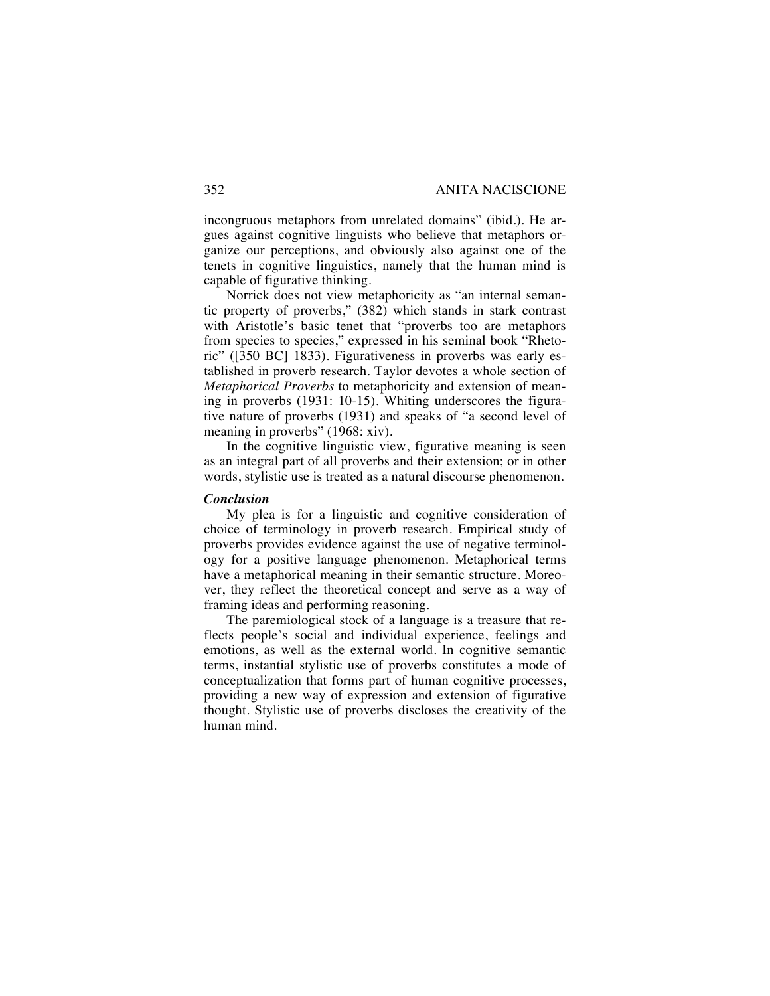incongruous metaphors from unrelated domains" (ibid.). He argues against cognitive linguists who believe that metaphors organize our perceptions, and obviously also against one of the tenets in cognitive linguistics, namely that the human mind is capable of figurative thinking.

Norrick does not view metaphoricity as "an internal semantic property of proverbs," (382) which stands in stark contrast with Aristotle's basic tenet that "proverbs too are metaphors from species to species," expressed in his seminal book "Rhetoric" ([350 BC] 1833). Figurativeness in proverbs was early established in proverb research. Taylor devotes a whole section of *Metaphorical Proverbs* to metaphoricity and extension of meaning in proverbs (1931: 10-15). Whiting underscores the figurative nature of proverbs (1931) and speaks of "a second level of meaning in proverbs" (1968: xiv).

In the cognitive linguistic view, figurative meaning is seen as an integral part of all proverbs and their extension; or in other words, stylistic use is treated as a natural discourse phenomenon.

#### *Conclusion*

My plea is for a linguistic and cognitive consideration of choice of terminology in proverb research. Empirical study of proverbs provides evidence against the use of negative terminology for a positive language phenomenon. Metaphorical terms have a metaphorical meaning in their semantic structure. Moreover, they reflect the theoretical concept and serve as a way of framing ideas and performing reasoning.

The paremiological stock of a language is a treasure that reflects people's social and individual experience, feelings and emotions, as well as the external world. In cognitive semantic terms, instantial stylistic use of proverbs constitutes a mode of conceptualization that forms part of human cognitive processes, providing a new way of expression and extension of figurative thought. Stylistic use of proverbs discloses the creativity of the human mind.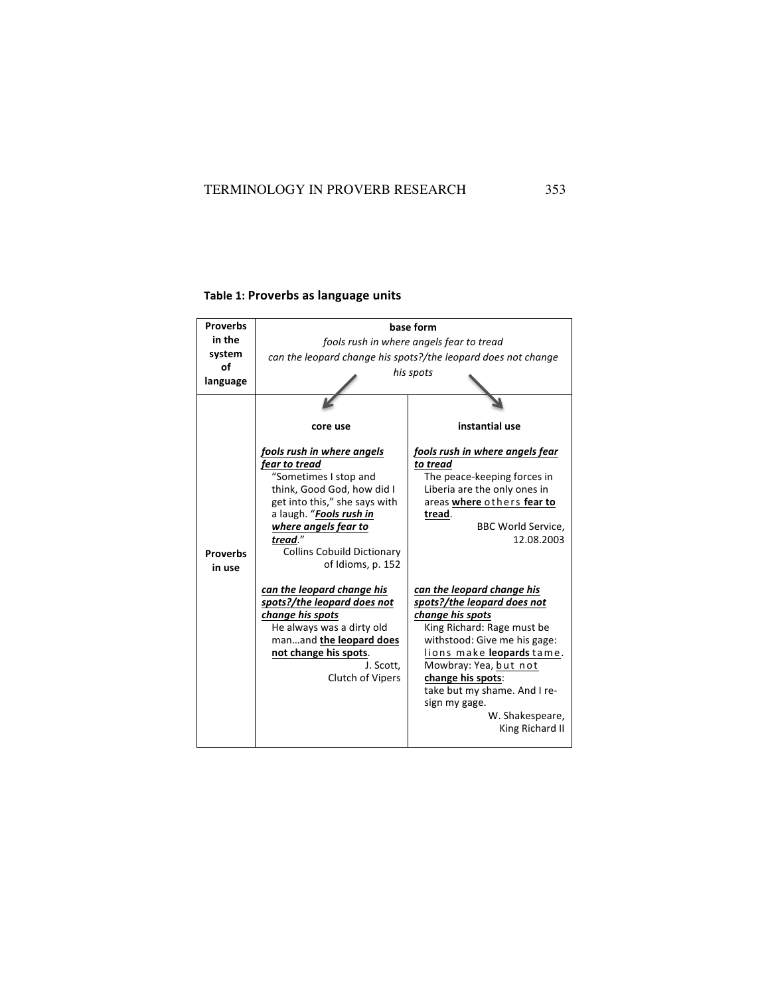# **Table 1: Proverbs as language units**

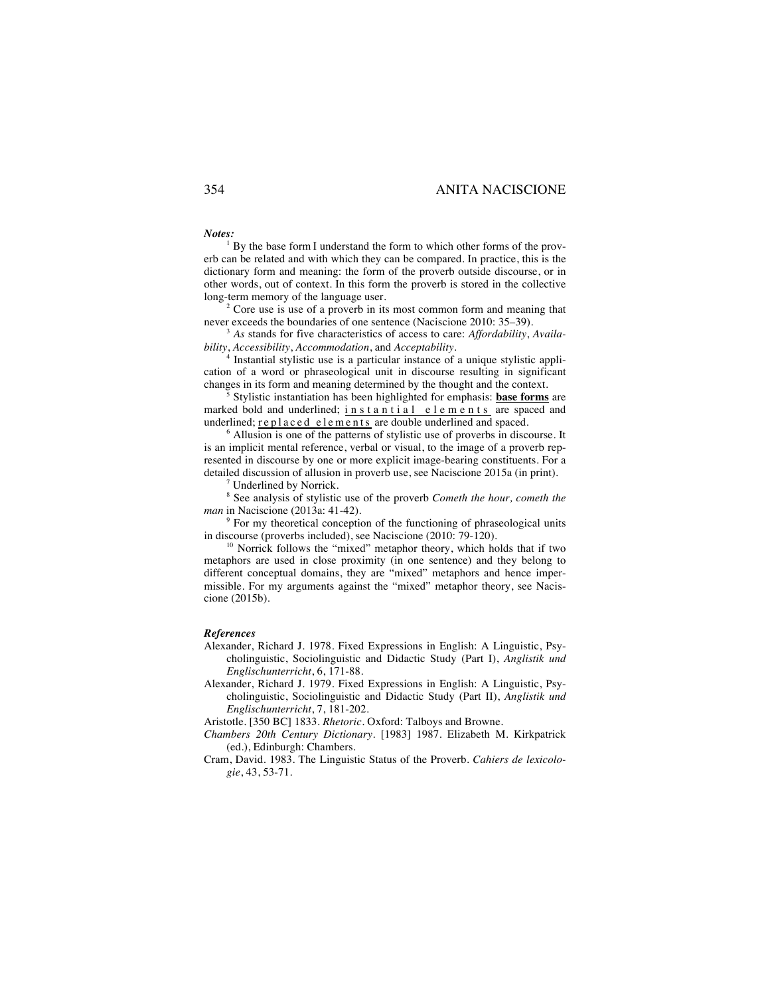#### 354 ANITA NACISCIONE

#### *Notes:*

By the base form I understand the form to which other forms of the proverb can be related and with which they can be compared. In practice, this is the dictionary form and meaning: the form of the proverb outside discourse, or in other words, out of context. In this form the proverb is stored in the collective long-term memory of the language user.

 $2^2$  Core use is use of a proverb in its most common form and meaning that never exceeds the boundaries of one sentence (Naciscione 2010: 35–39).

<sup>3</sup> *As stands for five characteristics of access to care: Affordability, Availa-bility, Accessibility, Accommodation, and Acceptability.* 

Instantial stylistic use is a particular instance of a unique stylistic application of a word or phraseological unit in discourse resulting in significant changes in its form and meaning determined by the thought and the context. 5 Stylistic instantiation has been highlighted for emphasis: **base forms** are

marked bold and underlined; instantial elements are spaced and underlined; replaced elements are double underlined and spaced.

 $6$  Allusion is one of the patterns of stylistic use of proverbs in discourse. It is an implicit mental reference, verbal or visual, to the image of a proverb represented in discourse by one or more explicit image-bearing constituents. For a detailed discussion of allusion in proverb use, see Naciscione 2015a (in print). 7 Underlined by Norrick.

<sup>8</sup> See analysis of stylistic use of the proverb *Cometh the hour, cometh the* 

<sup>9</sup> For my theoretical conception of the functioning of phraseological units in discourse (proverbs included), see Naciscione (2010: 79-120).

<sup>10</sup> Norrick follows the "mixed" metaphor theory, which holds that if two metaphors are used in close proximity (in one sentence) and they belong to different conceptual domains, they are "mixed" metaphors and hence impermissible. For my arguments against the "mixed" metaphor theory, see Naciscione (2015b).

#### *References*

Alexander, Richard J. 1978. Fixed Expressions in English: A Linguistic, Psycholinguistic, Sociolinguistic and Didactic Study (Part I), *Anglistik und Englischunterricht*, 6, 171-88.

Alexander, Richard J. 1979. Fixed Expressions in English: A Linguistic, Psycholinguistic, Sociolinguistic and Didactic Study (Part II), *Anglistik und Englischunterricht*, 7, 181-202.

Aristotle. [350 BC] 1833. *Rhetoric.* Oxford: Talboys and Browne.

*Chambers 20th Century Dictionary*. [1983] 1987. Elizabeth M. Kirkpatrick (ed.), Edinburgh: Chambers.

Cram, David. 1983. The Linguistic Status of the Proverb*. Cahiers de lexicologie*, 43, 53-71.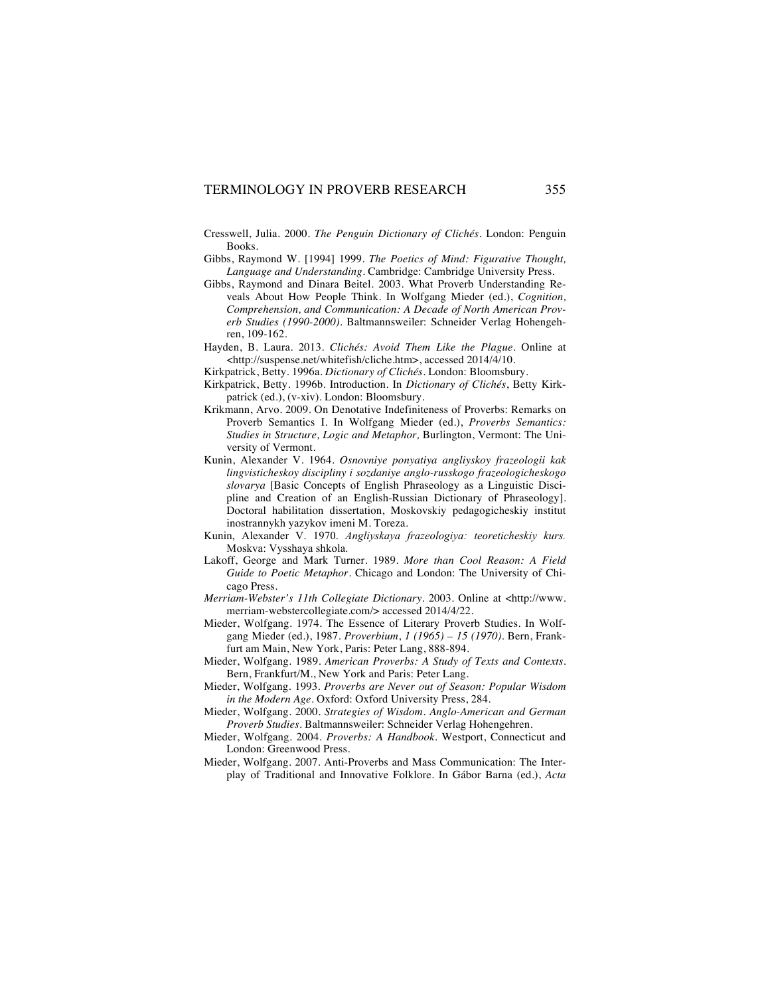- Cresswell, Julia. 2000. *The Penguin Dictionary of Clichés*. London: Penguin Books.
- Gibbs, Raymond W. [1994] 1999. *The Poetics of Mind: Figurative Thought, Language and Understanding*. Cambridge: Cambridge University Press.
- Gibbs, Raymond and Dinara Beitel. 2003. What Proverb Understanding Reveals About How People Think. In Wolfgang Mieder (ed.), *Cognition, Comprehension, and Communication: A Decade of North American Proverb Studies (1990-2000)*. Baltmannsweiler: Schneider Verlag Hohengehren, 109-162.
- Hayden, B. Laura. 2013. *Clichés: Avoid Them Like the Plague.* Online at <http://suspense.net/whitefish/cliche.htm>, accessed 2014/4/10.
- Kirkpatrick, Betty. 1996a. *Dictionary of Clichés.* London: Bloomsbury.
- Kirkpatrick, Betty. 1996b. Introduction. In *Dictionary of Clichés*, Betty Kirkpatrick (ed.), (v-xiv). London: Bloomsbury.
- Krikmann, Arvo. 2009. On Denotative Indefiniteness of Proverbs: Remarks on Proverb Semantics I. In Wolfgang Mieder (ed.), *Proverbs Semantics: Studies in Structure, Logic and Metaphor,* Burlington, Vermont: The University of Vermont.
- Kunin, Alexander V. 1964. *Osnovniye ponyatiya angliyskoy frazeologii kak lingvisticheskoy discipliny i sozdaniye anglo-russkogo frazeologicheskogo slovarya* [Basic Concepts of English Phraseology as a Linguistic Discipline and Creation of an English-Russian Dictionary of Phraseology]. Doctoral habilitation dissertation, Moskovskiy pedagogicheskiy institut inostrannykh yazykov imeni M. Toreza.
- Kunin, Alexander V. 1970. *Angliyskaya frazeologiya: teoreticheskiy kurs.* Moskva: Vysshaya shkola.
- Lakoff, George and Mark Turner. 1989. *More than Cool Reason: A Field Guide to Poetic Metaphor*. Chicago and London: The University of Chicago Press.
- *Merriam-Webster's 11th Collegiate Dictionary*. 2003. Online at <http://www. merriam-webstercollegiate.com/> accessed 2014/4/22.
- Mieder, Wolfgang. 1974. The Essence of Literary Proverb Studies. In Wolfgang Mieder (ed.), 1987. *Proverbium*, *1 (1965) – 15 (1970)*. Bern, Frankfurt am Main, New York, Paris: Peter Lang, 888-894.
- Mieder, Wolfgang. 1989. *American Proverbs: A Study of Texts and Contexts*. Bern, Frankfurt/M., New York and Paris: Peter Lang.
- Mieder, Wolfgang. 1993. *Proverbs are Never out of Season: Popular Wisdom in the Modern Age*. Oxford: Oxford University Press, 284.
- Mieder, Wolfgang. 2000. *Strategies of Wisdom. Anglo-American and German Proverb Studies*. Baltmannsweiler: Schneider Verlag Hohengehren.
- Mieder, Wolfgang. 2004. *Proverbs: A Handbook.* Westport, Connecticut and London: Greenwood Press.
- Mieder, Wolfgang. 2007. Anti-Proverbs and Mass Communication: The Interplay of Traditional and Innovative Folklore. In Gábor Barna (ed.), *Acta*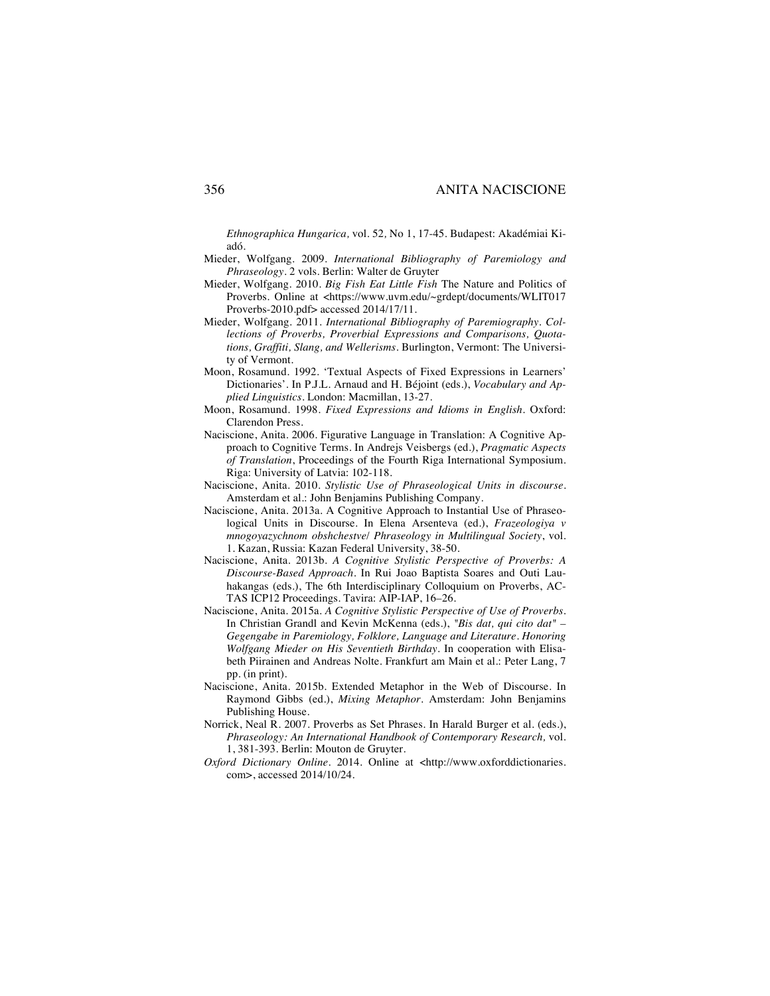*Ethnographica Hungarica,* vol. 52*,* No 1, 17-45*.* Budapest: Akadémiai Kiadó.

- Mieder, Wolfgang. 2009. *International Bibliography of Paremiology and Phraseology*. 2 vols. Berlin: Walter de Gruyter
- Mieder, Wolfgang. 2010. *Big Fish Eat Little Fish* The Nature and Politics of Proverbs. Online at <https://www.uvm.edu/~grdept/documents/WLIT017 Proverbs-2010.pdf> accessed 2014/17/11.
- Mieder, Wolfgang. 2011. *International Bibliography of Paremiography. Collections of Proverbs, Proverbial Expressions and Comparisons, Quotations, Graffiti, Slang, and Wellerisms*. Burlington, Vermont: The University of Vermont.
- Moon, Rosamund. 1992. 'Textual Aspects of Fixed Expressions in Learners' Dictionaries'. In P.J.L. Arnaud and H. Béjoint (eds.), *Vocabulary and Applied Linguistics.* London: Macmillan, 13-27.
- Moon, Rosamund. 1998. *Fixed Expressions and Idioms in English*. Oxford: Clarendon Press.
- Naciscione, Anita. 2006. Figurative Language in Translation: A Cognitive Approach to Cognitive Terms. In Andrejs Veisbergs (ed.), *Pragmatic Aspects of Translation*, Proceedings of the Fourth Riga International Symposium. Riga: University of Latvia: 102-118.
- Naciscione, Anita. 2010. *Stylistic Use of Phraseological Units in discourse.* Amsterdam et al.: John Benjamins Publishing Company.
- Naciscione, Anita. 2013a. A Cognitive Approach to Instantial Use of Phraseological Units in Discourse. In Elena Arsenteva (ed.), *Frazeologiya v mnogoyazychnom obshchestve*/ *Phraseology in Multilingual Society*, vol. 1. Kazan, Russia: Kazan Federal University, 38-50.
- Naciscione, Anita. 2013b. *A Cognitive Stylistic Perspective of Proverbs: A Discourse-Based Approach.* In Rui Joao Baptista Soares and Outi Lauhakangas (eds.), The 6th Interdisciplinary Colloquium on Proverbs, AC-TAS ICP12 Proceedings. Tavira: AIP-IAP, 16–26.
- Naciscione, Anita. 2015a. *A Cognitive Stylistic Perspective of Use of Proverbs.* In Christian Grandl and Kevin McKenna (eds.), *"Bis dat, qui cito dat" – Gegengabe in Paremiology, Folklore, Language and Literature. Honoring Wolfgang Mieder on His Seventieth Birthday*. In cooperation with Elisabeth Piirainen and Andreas Nolte. Frankfurt am Main et al.: Peter Lang, 7 pp. (in print).
- Naciscione, Anita. 2015b. Extended Metaphor in the Web of Discourse. In Raymond Gibbs (ed.), *Mixing Metaphor.* Amsterdam: John Benjamins Publishing House.
- Norrick, Neal R. 2007. Proverbs as Set Phrases. In Harald Burger et al. (eds.), *Phraseology: An International Handbook of Contemporary Research,* vol. 1, 381-393. Berlin: Mouton de Gruyter.
- *Oxford Dictionary Online*. 2014. Online at <http://www.oxforddictionaries. com>, accessed 2014/10/24.